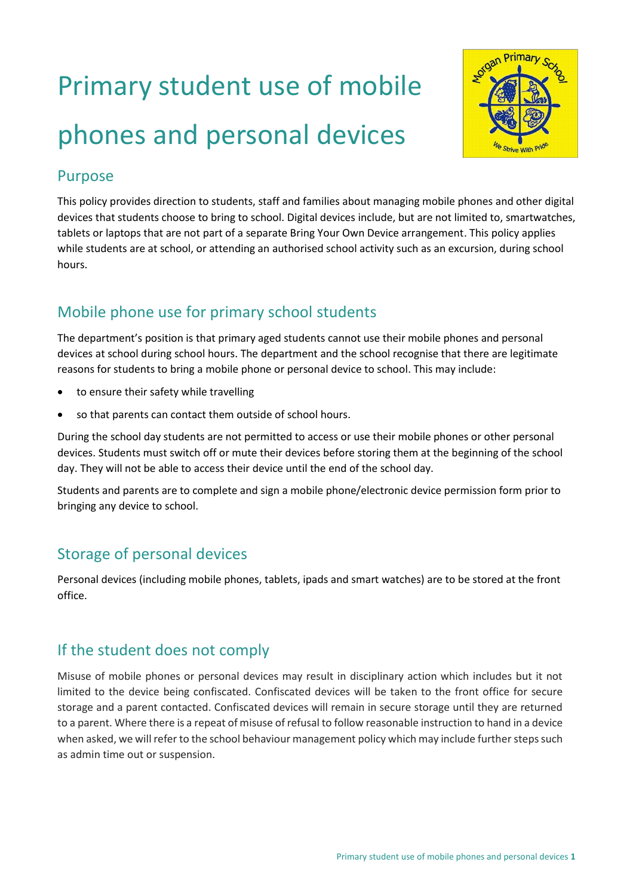# Primary student use of mobile phones and personal devices



## Purpose

This policy provides direction to students, staff and families about managing mobile phones and other digital devices that students choose to bring to school. Digital devices include, but are not limited to, smartwatches, tablets or laptops that are not part of a separate Bring Your Own Device arrangement. This policy applies while students are at school, or attending an authorised school activity such as an excursion, during school hours.

## Mobile phone use for primary school students

The department's position is that primary aged students cannot use their mobile phones and personal devices at school during school hours. The department and the school recognise that there are legitimate reasons for students to bring a mobile phone or personal device to school. This may include:

- to ensure their safety while travelling
- so that parents can contact them outside of school hours.

During the school day students are not permitted to access or use their mobile phones or other personal devices. Students must switch off or mute their devices before storing them at the beginning of the school day. They will not be able to access their device until the end of the school day.

Students and parents are to complete and sign a mobile phone/electronic device permission form prior to bringing any device to school.

## Storage of personal devices

Personal devices (including mobile phones, tablets, ipads and smart watches) are to be stored at the front office.

## If the student does not comply

Misuse of mobile phones or personal devices may result in disciplinary action which includes but it not limited to the device being confiscated. Confiscated devices will be taken to the front office for secure storage and a parent contacted. Confiscated devices will remain in secure storage until they are returned to a parent. Where there is a repeat of misuse of refusal to follow reasonable instruction to hand in a device when asked, we will refer to the school behaviour management policy which may include further steps such as admin time out or suspension.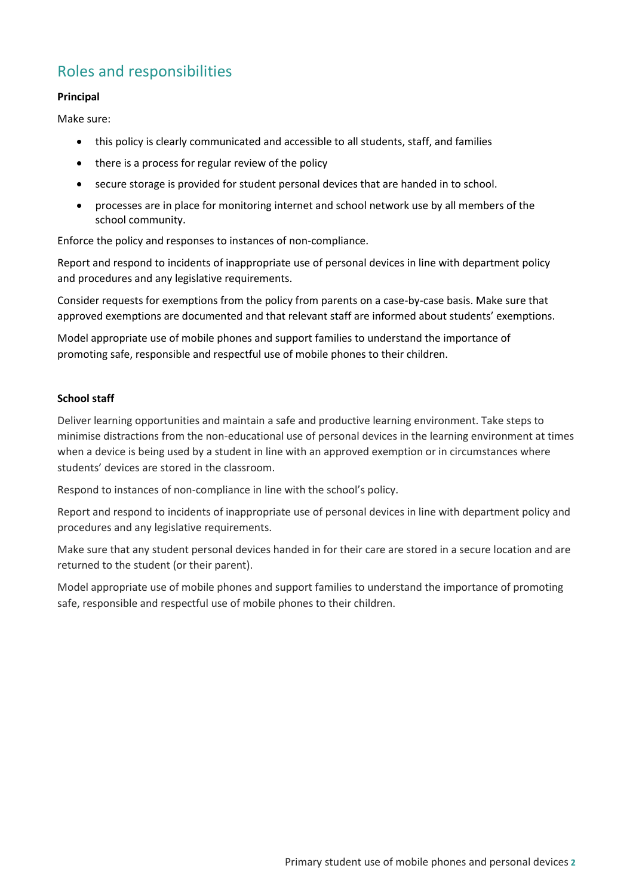# Roles and responsibilities

#### **Principal**

Make sure:

- this policy is clearly communicated and accessible to all students, staff, and families
- there is a process for regular review of the policy
- secure storage is provided for student personal devices that are handed in to school.
- processes are in place for monitoring internet and school network use by all members of the school community.

Enforce the policy and responses to instances of non-compliance.

Report and respond to incidents of inappropriate use of personal devices in line with department policy and procedures and any legislative requirements.

Consider requests for exemptions from the policy from parents on a case-by-case basis. Make sure that approved exemptions are documented and that relevant staff are informed about students' exemptions.

Model appropriate use of mobile phones and support families to understand the importance of promoting safe, responsible and respectful use of mobile phones to their children.

#### **School staff**

Deliver learning opportunities and maintain a safe and productive learning environment. Take steps to minimise distractions from the non-educational use of personal devices in the learning environment at times when a device is being used by a student in line with an approved exemption or in circumstances where students' devices are stored in the classroom.

Respond to instances of non-compliance in line with the school's policy.

Report and respond to incidents of inappropriate use of personal devices in line with department policy and procedures and any legislative requirements.

Make sure that any student personal devices handed in for their care are stored in a secure location and are returned to the student (or their parent).

Model appropriate use of mobile phones and support families to understand the importance of promoting safe, responsible and respectful use of mobile phones to their children.